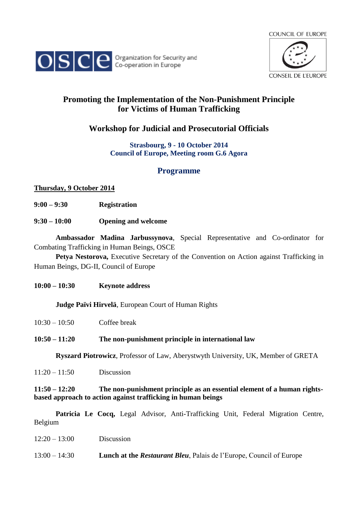



# **Promoting the Implementation of the Non-Punishment Principle for Victims of Human Trafficking**

**Workshop for Judicial and Prosecutorial Officials**

### **Strasbourg, 9 - 10 October 2014 Council of Europe, Meeting room G.6 Agora**

## **Programme**

### **Thursday, 9 October 2014**

- **9:00 – 9:30 Registration**
- **9:30 – 10:00 Opening and welcome**

**Ambassador Madina Jarbussynova**, Special Representative and Co-ordinator for Combating Trafficking in Human Beings, OSCE

**Petya Nestorova,** Executive Secretary of the Convention on Action against Trafficking in Human Beings, DG-II, Council of Europe

**10:00 – 10:30 Keynote address**

**Judge Païvi Hirvelä**, European Court of Human Rights

### **10:50 – 11:20 The non-punishment principle in international law**

**Ryszard Piotrowicz**, Professor of Law, Aberystwyth University, UK, Member of GRETA

11:20 – 11:50 Discussion

### **11:50 – 12:20 The non-punishment principle as an essential element of a human rightsbased approach to action against trafficking in human beings**

**Patricia Le Cocq,** Legal Advisor, Anti-Trafficking Unit, Federal Migration Centre, Belgium

| $12:20 - 13:00$ | Discussion                                                                 |
|-----------------|----------------------------------------------------------------------------|
| $13:00 - 14:30$ | <b>Lunch at the Restaurant Bleu, Palais de l'Europe, Council of Europe</b> |